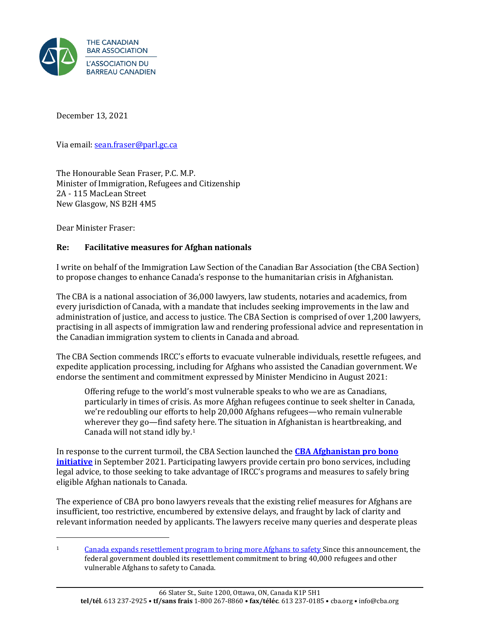

December 13, 2021

Via email[: sean.fraser@parl.gc.ca](mailto:sean.fraser@parl.gc.ca) 

The Honourable Sean Fraser, P.C. M.P. Minister of Immigration, Refugees and Citizenship 2A - 115 MacLean Street New Glasgow, NS B2H 4M5

Dear Minister Fraser:

## **Re: Facilitative measures for Afghan nationals**

I write on behalf of the Immigration Law Section of the Canadian Bar Association (the CBA Section) to propose changes to enhance Canada's response to the humanitarian crisis in Afghanistan.

The CBA is a national association of 36,000 lawyers, law students, notaries and academics, from every jurisdiction of Canada, with a mandate that includes seeking improvements in the law and administration of justice, and access to justice. The CBA Section is comprised of over 1,200 lawyers, practising in all aspects of immigration law and rendering professional advice and representation in the Canadian immigration system to clients in Canada and abroad.

The CBA Section commends IRCC's efforts to evacuate vulnerable individuals, resettle refugees, and expedite application processing, including for Afghans who assisted the Canadian government. We endorse the sentiment and commitment expressed by Minister Mendicino in August 2021:

Offering refuge to the world's most vulnerable speaks to who we are as Canadians, particularly in times of crisis. As more Afghan refugees continue to seek shelter in Canada, we're redoubling our efforts to help 20,000 Afghans refugees—who remain vulnerable wherever they go—find safety here. The situation in Afghanistan is heartbreaking, and Canada will not stand idly by.[1](#page-0-0)

In response to the current turmoil, the CBA Section launched the **[CBA Afghanistan](https://www.cba.org/For-The-Public/Pro-Bono-Initiative-%E2%80%93-Crisis-In-Afghanistan?lang=en-ca) pro bono [initiative](https://www.cba.org/For-The-Public/Pro-Bono-Initiative-%E2%80%93-Crisis-In-Afghanistan?lang=en-ca)** in September 2021. Participating lawyers provide certain pro bono services, including legal advice, to those seeking to take advantage of IRCC's programs and measures to safely bring eligible Afghan nationals to Canada.

The experience of CBA pro bono lawyers reveals that the existing relief measures for Afghans are insufficient, too restrictive, encumbered by extensive delays, and fraught by lack of clarity and relevant information needed by applicants. The lawyers receive many queries and desperate pleas

<span id="page-0-0"></span><sup>&</sup>lt;sup>1</sup> [Canada expands resettlement program to bring more Afghans to safety](https://www.canada.ca/en/immigration-refugees-citizenship/news/2021/08/canada-expands-resettlement-program-to-bring-more-afghans-to-safety.html) Since this announcement, the federal government doubled its resettlement commitment to bring 40,000 refugees and other vulnerable Afghans to safety to Canada.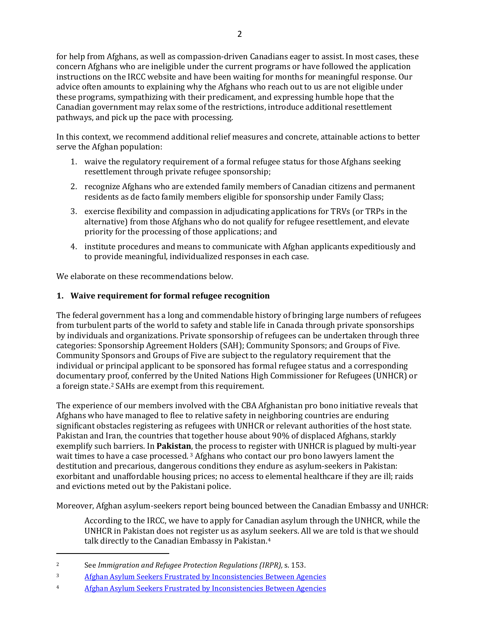for help from Afghans, as well as compassion-driven Canadians eager to assist. In most cases, these concern Afghans who are ineligible under the current programs or have followed the application instructions on the IRCC website and have been waiting for months for meaningful response. Our advice often amounts to explaining why the Afghans who reach out to us are not eligible under these programs, sympathizing with their predicament, and expressing humble hope that the Canadian government may relax some of the restrictions, introduce additional resettlement pathways, and pick up the pace with processing.

In this context, we recommend additional relief measures and concrete, attainable actions to better serve the Afghan population:

- 1. waive the regulatory requirement of a formal refugee status for those Afghans seeking resettlement through private refugee sponsorship;
- 2. recognize Afghans who are extended family members of Canadian citizens and permanent residents as de facto family members eligible for sponsorship under Family Class;
- 3. exercise flexibility and compassion in adjudicating applications for TRVs (or TRPs in the alternative) from those Afghans who do not qualify for refugee resettlement, and elevate priority for the processing of those applications; and
- 4. institute procedures and means to communicate with Afghan applicants expeditiously and to provide meaningful, individualized responses in each case.

We elaborate on these recommendations below.

## **1. Waive requirement for formal refugee recognition**

The federal government has a long and commendable history of bringing large numbers of refugees from turbulent parts of the world to safety and stable life in Canada through private sponsorships by individuals and organizations. Private sponsorship of refugees can be undertaken through three categories: Sponsorship Agreement Holders (SAH); Community Sponsors; and Groups of Five. Community Sponsors and Groups of Five are subject to the regulatory requirement that the individual or principal applicant to be sponsored has formal refugee status and a corresponding documentary proof, conferred by the United Nations High Commissioner for Refugees (UNHCR) or a foreign state.[2](#page-1-0) SAHs are exempt from this requirement.

The experience of our members involved with the CBA Afghanistan pro bono initiative reveals that Afghans who have managed to flee to relative safety in neighboring countries are enduring significant obstacles registering as refugees with UNHCR or relevant authorities of the host state. Pakistan and Iran, the countries that together house about 90% of displaced Afghans, starkly exemplify such barriers. In **Pakistan**, the process to register with UNHCR is plagued by multi-year wait times to have a case processed. [3](#page-1-1) Afghans who contact our pro bono lawyers lament the destitution and precarious, dangerous conditions they endure as asylum-seekers in Pakistan: exorbitant and unaffordable housing prices; no access to elemental healthcare if they are ill; raids and evictions meted out by the Pakistani police.

Moreover, Afghan asylum-seekers report being bounced between the Canadian Embassy and UNHCR:

According to the IRCC, we have to apply for Canadian asylum through the UNHCR, while the UNHCR in Pakistan does not register us as asylum seekers. All we are told is that we should talk directly to the Canadian Embassy in Pakistan.[4](#page-1-2)

<span id="page-1-0"></span><sup>2</sup> See *Immigration and Refugee Protection Regulations (IRPR),* s. 153.

<span id="page-1-1"></span><sup>3</sup> [Afghan Asylum Seekers Frustrated by Inconsistencies Between Agencies](https://www.thestar.com/news/canada/2021/09/21/afghan-asylum-seekers-frustrated-by-inconsistencies-between-agencies.html)

<span id="page-1-2"></span><sup>4</sup> [Afghan Asylum Seekers Frustrated by Inconsistencies Between Agencies](https://www.thestar.com/news/canada/2021/09/21/afghan-asylum-seekers-frustrated-by-inconsistencies-between-agencies.html)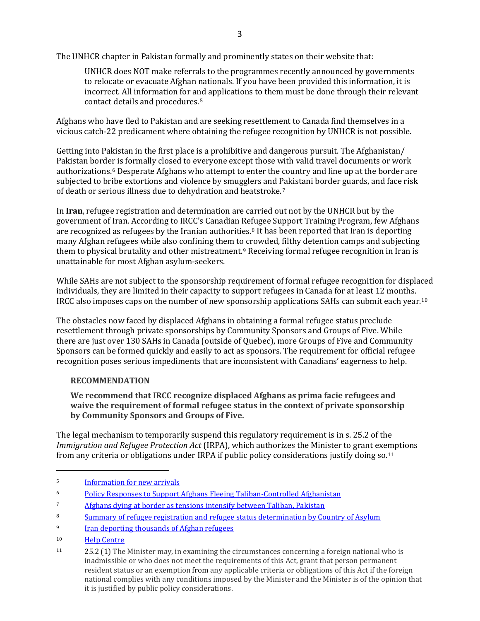The UNHCR chapter in Pakistan formally and prominently states on their website that:

UNHCR does NOT make referrals to the programmes recently announced by governments to relocate or evacuate Afghan nationals. If you have been provided this information, it is incorrect. All information for and applications to them must be done through their relevant contact details and procedures.[5](#page-2-0)

Afghans who have fled to Pakistan and are seeking resettlement to Canada find themselves in a vicious catch-22 predicament where obtaining the refugee recognition by UNHCR is not possible.

Getting into Pakistan in the first place is a prohibitive and dangerous pursuit. The Afghanistan/ Pakistan border is formally closed to everyone except those with valid travel documents or work authorizations.[6](#page-2-1) Desperate Afghans who attempt to enter the country and line up at the border are subjected to bribe extortions and violence by smugglers and Pakistani border guards, and face risk of death or serious illness due to dehydration and heatstroke.[7](#page-2-2)

In **Iran**, refugee registration and determination are carried out not by the UNHCR but by the government of Iran. According to IRCC's Canadian Refugee Support Training Program, few Afghans are recognized as refugees by the Iranian authorities[.8](#page-2-3) It has been reported that Iran is deporting many Afghan refugees while also confining them to crowded, filthy detention camps and subjecting them to physical brutality and other mistreatment.[9](#page-2-4) Receiving formal refugee recognition in Iran is unattainable for most Afghan asylum-seekers.

While SAHs are not subject to the sponsorship requirement of formal refugee recognition for displaced individuals, they are limited in their capacity to support refugees in Canada for at least 12 months. IRCC also imposes caps on the number of new sponsorship applications SAHs can submit each year.[10](#page-2-5)

The obstacles now faced by displaced Afghans in obtaining a formal refugee status preclude resettlement through private sponsorships by Community Sponsors and Groups of Five. While there are just over 130 SAHs in Canada (outside of Quebec), more Groups of Five and Community Sponsors can be formed quickly and easily to act as sponsors. The requirement for official refugee recognition poses serious impediments that are inconsistent with Canadians' eagerness to help.

## **RECOMMENDATION**

**We recommend that IRCC recognize displaced Afghans as prima facie refugees and waive the requirement of formal refugee status in the context of private sponsorship by Community Sponsors and Groups of Five.** 

The legal mechanism to temporarily suspend this regulatory requirement is in s. 25.2 of the *Immigration and Refugee Protection Act* (IRPA), which authorizes the Minister to grant exemptions from any criteria or obligations under IRPA if public policy considerations justify doing so.[11](#page-2-6)

<span id="page-2-0"></span><sup>5</sup> [Information](https://help.unhcr.org/pakistan/new-arrivals/) for new arrivals

<span id="page-2-1"></span><sup>6</sup> [Policy Responses to Support Afghans Fleeing Taliban-Controlled Afghanistan](https://www.hrw.org/news/2021/10/21/policy-responses-support-afghans-fleeing-taliban-controlled-afghanistan)

<span id="page-2-2"></span>[Afghans dying at border as tensions intensify between Taliban, Pakistan](https://nypost.com/2021/09/23/afghans-dying-at-border-amid-taliban-pakistan-tension/)

<span id="page-2-3"></span><sup>&</sup>lt;sup>8</sup> [Summary of refugee registration and refugee status determination by Country of Asylum](https://www.rstp.ca/wp-content/uploads/2017/01/RSDs-by-country-updated-January-2017Final.pdf)

<span id="page-2-4"></span><sup>9</sup> Iran deporting thousands of Afghan refugees

<span id="page-2-5"></span><sup>10</sup> [Help Centre](https://www.cic.gc.ca/english/helpcentre/answer.asp?qnum=1304&top=11)

<span id="page-2-6"></span><sup>11 25.2</sup> (1) The Minister may, in examining the circumstances concerning a foreign national who is inadmissible or who does not meet the requirements of this Act, grant that person permanent resident status or an exemption from any applicable criteria or obligations of this Act if the foreign national complies with any conditions imposed by the Minister and the Minister is of the opinion that it is justified by public policy considerations.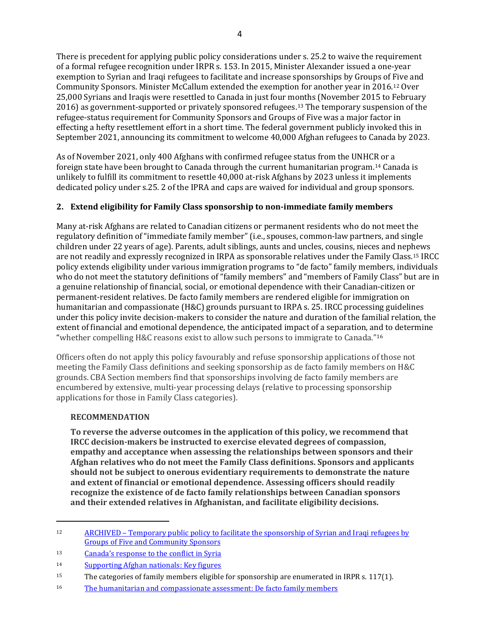There is precedent for applying public policy considerations under s. 25.2 to waive the requirement of a formal refugee recognition under IRPR s. 153. In 2015, Minister Alexander issued a one-year exemption to Syrian and Iraqi refugees to facilitate and increase sponsorships by Groups of Five and Community Sponsors. Minister McCallum extended the exemption for another year in 2016.[12](#page-3-0) Over 25,000 Syrians and Iraqis were resettled to Canada in just four months (November 2015 to February 2016) as government-supported or privately sponsored refugees.[13](#page-3-1) The temporary suspension of the refugee-status requirement for Community Sponsors and Groups of Five was a major factor in effecting a hefty resettlement effort in a short time. The federal government publicly invoked this in September 2021, announcing its commitment to welcome 40,000 Afghan refugees to Canada by 2023.

As of November 2021, only 400 Afghans with confirmed refugee status from the UNHCR or a foreign state have been brought to Canada through the current humanitarian program[.14](#page-3-2) Canada is unlikely to fulfill its commitment to resettle 40,000 at-risk Afghans by 2023 unless it implements dedicated policy under s.25. 2 of the IPRA and caps are waived for individual and group sponsors.

# **2. Extend eligibility for Family Class sponsorship to non-immediate family members**

Many at-risk Afghans are related to Canadian citizens or permanent residents who do not meet the regulatory definition of "immediate family member" (i.e., spouses, common-law partners, and single children under 22 years of age). Parents, adult siblings, aunts and uncles, cousins, nieces and nephews are not readily and expressly recognized in IRPA as sponsorable relatives under the Family Class.[15](#page-3-3) IRCC policy extends eligibility under various immigration programs to "de facto" family members, individuals who do not meet the statutory definitions of "family members" and "members of Family Class" but are in a genuine relationship of financial, social, or emotional dependence with their Canadian-citizen or permanent-resident relatives. De facto family members are rendered eligible for immigration on humanitarian and compassionate (H&C) grounds pursuant to IRPA s. 25. IRCC processing guidelines under this policy invite decision-makers to consider the nature and duration of the familial relation, the extent of financial and emotional dependence, the anticipated impact of a separation, and to determine "whether compelling H&C reasons exist to allow such persons to immigrate to Canada."[16](#page-3-4) 

Officers often do not apply this policy favourably and refuse sponsorship applications of those not meeting the Family Class definitions and seeking sponsorship as de facto family members on H&C grounds. CBA Section members find that sponsorships involving de facto family members are encumbered by extensive, multi-year processing delays (relative to processing sponsorship applications for those in Family Class categories).

## **RECOMMENDATION**

**To reverse the adverse outcomes in the application of this policy, we recommend that IRCC decision-makers be instructed to exercise elevated degrees of compassion, empathy and acceptance when assessing the relationships between sponsors and their Afghan relatives who do not meet the Family Class definitions. Sponsors and applicants should not be subject to onerous evidentiary requirements to demonstrate the nature and extent of financial or emotional dependence. Assessing officers should readily recognize the existence of de facto family relationships between Canadian sponsors and their extended relatives in Afghanistan, and facilitate eligibility decisions.**

<span id="page-3-0"></span><sup>12</sup> [ARCHIVED – Temporary public policy to facilitate the sponsorship of Syrian and Iraqi refugees by](https://www.canada.ca/en/immigration-refugees-citizenship/corporate/mandate/policies-operational-instructions-agreements/sponsorship-syrian-iraqi-refugees-groups-five-community-sponsors-2017.html)  [Groups of Five and Community Sponsors](https://www.canada.ca/en/immigration-refugees-citizenship/corporate/mandate/policies-operational-instructions-agreements/sponsorship-syrian-iraqi-refugees-groups-five-community-sponsors-2017.html)

<span id="page-3-1"></span><sup>13</sup> [Canada's response to the conflict in Syria](https://www.international.gc.ca/world-monde/issues_development-enjeux_developpement/response_conflict-reponse_conflits/crisis-crises/conflict_syria-syrie.aspx?lang=eng)

<span id="page-3-2"></span><sup>14</sup> [Supporting Afghan nationals: Key figures](https://www.canada.ca/en/immigration-refugees-citizenship/services/refugees/afghanistan/key-figures.html)

<span id="page-3-3"></span><sup>&</sup>lt;sup>15</sup> The categories of family members eligible for sponsorship are enumerated in IRPR s. 117(1).

<span id="page-3-4"></span><sup>16</sup> [The humanitarian and compassionate assessment: De facto family members](https://www.canada.ca/en/immigration-refugees-citizenship/corporate/publications-manuals/operational-bulletins-manuals/permanent-residence/humanitarian-compassionate-consideration/processing/assessment-facto-family-members.html)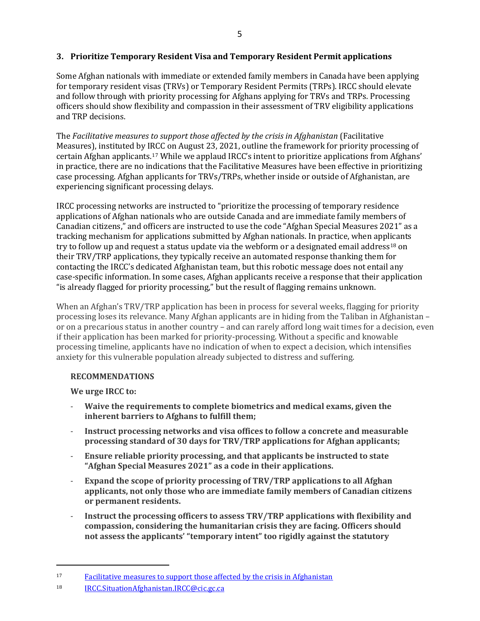## **3. Prioritize Temporary Resident Visa and Temporary Resident Permit applications**

Some Afghan nationals with immediate or extended family members in Canada have been applying for temporary resident visas (TRVs) or Temporary Resident Permits (TRPs). IRCC should elevate and follow through with priority processing for Afghans applying for TRVs and TRPs. Processing officers should show flexibility and compassion in their assessment of TRV eligibility applications and TRP decisions.

The *Facilitative measures to support those affected by the crisis in Afghanistan* (Facilitative Measures), instituted by IRCC on August 23, 2021, outline the framework for priority processing of certain Afghan applicants.[17](#page-4-0) While we applaud IRCC's intent to prioritize applications from Afghans' in practice, there are no indications that the Facilitative Measures have been effective in prioritizing case processing. Afghan applicants for TRVs/TRPs, whether inside or outside of Afghanistan, are experiencing significant processing delays.

IRCC processing networks are instructed to "prioritize the processing of temporary residence applications of Afghan nationals who are outside Canada and are immediate family members of Canadian citizens," and officers are instructed to use the code "Afghan Special Measures 2021" as a tracking mechanism for applications submitted by Afghan nationals. In practice, when applicants try to follow up and request a status update via the webform or a designated email address<sup>[18](#page-4-1)</sup> on their TRV/TRP applications, they typically receive an automated response thanking them for contacting the IRCC's dedicated Afghanistan team, but this robotic message does not entail any case-specific information. In some cases, Afghan applicants receive a response that their application "is already flagged for priority processing," but the result of flagging remains unknown.

When an Afghan's TRV/TRP application has been in process for several weeks, flagging for priority processing loses its relevance. Many Afghan applicants are in hiding from the Taliban in Afghanistan – or on a precarious status in another country – and can rarely afford long wait times for a decision, even if their application has been marked for priority-processing. Without a specific and knowable processing timeline, applicants have no indication of when to expect a decision, which intensifies anxiety for this vulnerable population already subjected to distress and suffering.

## **RECOMMENDATIONS**

**We urge IRCC to:** 

- **Waive the requirements to complete biometrics and medical exams, given the inherent barriers to Afghans to fulfill them;**
- **Instruct processing networks and visa offices to follow a concrete and measurable processing standard of 30 days for TRV/TRP applications for Afghan applicants;**
- **Ensure reliable priority processing, and that applicants be instructed to state "Afghan Special Measures 2021" as a code in their applications.**
- **Expand the scope of priority processing of TRV/TRP applications to all Afghan applicants, not only those who are immediate family members of Canadian citizens or permanent residents.**
- **Instruct the processing officers to assess TRV/TRP applications with flexibility and compassion, considering the humanitarian crisis they are facing. Officers should not assess the applicants' "temporary intent" too rigidly against the statutory**

<span id="page-4-1"></span><span id="page-4-0"></span><sup>17</sup> [Facilitative measures to support those affected by the crisis in Afghanistan](https://www.canada.ca/en/immigration-refugees-citizenship/corporate/publications-manuals/operational-bulletins-manuals/service-delivery/afghanistan.html)

<sup>18</sup> [IRCC.SituationAfghanistan.IRCC@cic.gc.ca](mailto:IRCC.SituationAfghanistan.IRCC@cic.gc.ca)